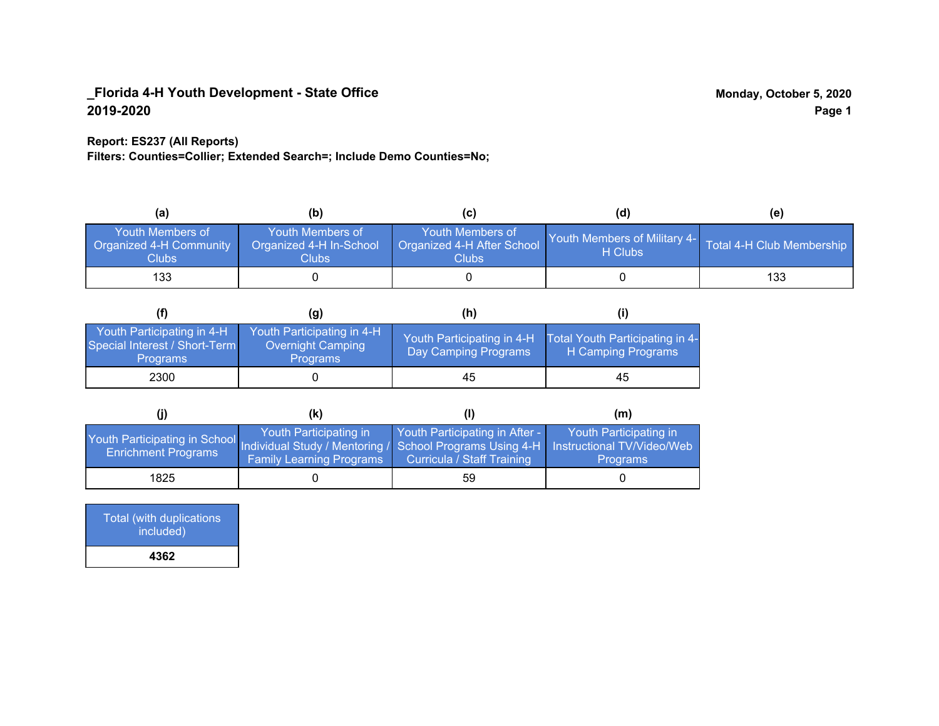## **Report: ES237 (All Reports)**

**Filters: Counties=Collier; Extended Search=; Include Demo Counties=No;**

| (a                                                                 | (b)                                                  | (C)                                                       | (d)                                                               | (e) |
|--------------------------------------------------------------------|------------------------------------------------------|-----------------------------------------------------------|-------------------------------------------------------------------|-----|
| <b>Youth Members of</b><br><b>Organized 4-H Community</b><br>Clubs | Youth Members of<br>Organized 4-H In-School<br>Clubs | Youth Members of<br>Organized 4-H After School<br>Clubs : | Youth Members of Military 4- Total 4-H Club Membership<br>H Clubs |     |
| 133                                                                |                                                      |                                                           |                                                                   | 133 |

|                                                                                | (g)                                                                | (h)                                                 |                                                       |
|--------------------------------------------------------------------------------|--------------------------------------------------------------------|-----------------------------------------------------|-------------------------------------------------------|
| Youth Participating in 4-H<br>Special Interest / Short-Term<br><b>Programs</b> | Youth Participating in 4-H<br>Overnight Camping<br><b>Programs</b> | Youth Participating in 4-H.<br>Day Camping Programs | Total Youth Participating in 4-<br>H Camping Programs |
| 2300                                                                           |                                                                    | 45                                                  | 45                                                    |

|                                                                                                                                                 | (k)                                                       |                                                                     | (m)                                       |
|-------------------------------------------------------------------------------------------------------------------------------------------------|-----------------------------------------------------------|---------------------------------------------------------------------|-------------------------------------------|
| Youth Participating in School Individual Study / Mentoring / School Programs Using 4-H Instructional TV/Video/Web<br><b>Enrichment Programs</b> | Youth Participating in<br><b>Family Learning Programs</b> | Youth Participating in After -<br><b>Curricula / Staff Training</b> | Youth Participating in<br><b>Programs</b> |
| 1825                                                                                                                                            |                                                           | 59                                                                  |                                           |

Total (with duplications included) **4362**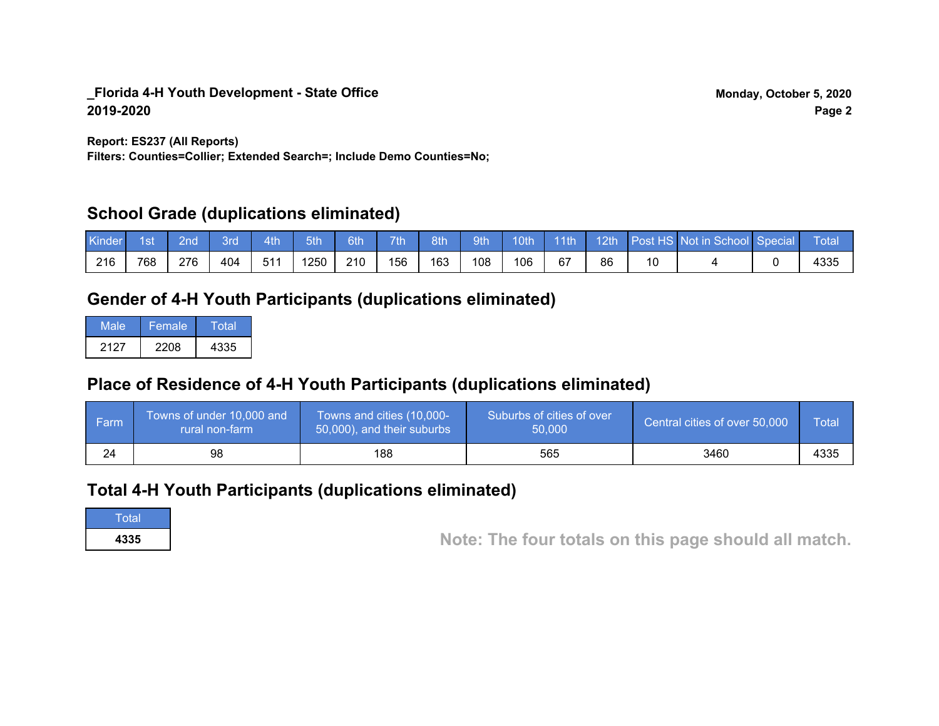**Report: ES237 (All Reports)**

**Filters: Counties=Collier; Extended Search=; Include Demo Counties=No;**

# **School Grade (duplications eliminated)**

| Kinder | 1st | 2nd' | 3rd | 4th | 5th  | 6th | 7th | 8th | 9th |     |    |    | 10th 11th 12th Post HS Not in School Special | <b>Total</b> |
|--------|-----|------|-----|-----|------|-----|-----|-----|-----|-----|----|----|----------------------------------------------|--------------|
| 216    | 768 | 276  | 404 | 511 | 1250 | 210 | 156 | 163 | 108 | 106 | 67 | 86 |                                              | 4335         |

# **Gender of 4-H Youth Participants (duplications eliminated)**

| Male | 'Female, | Total |
|------|----------|-------|
| 2127 | 2208     | 4335  |

# **Place of Residence of 4-H Youth Participants (duplications eliminated)**

| ∣ Farm | Towns of under 10,000 and<br>rural non-farm | Towns and cities (10,000-<br>50,000), and their suburbs | Suburbs of cities of over<br>50,000 | Central cities of over 50,000 | Total |
|--------|---------------------------------------------|---------------------------------------------------------|-------------------------------------|-------------------------------|-------|
| 24     | 98                                          | 188                                                     | 565                                 | 3460                          | 4335  |

# **Total 4-H Youth Participants (duplications eliminated)**

**Total** 

**<sup>4335</sup> Note: The four totals on this page should all match.**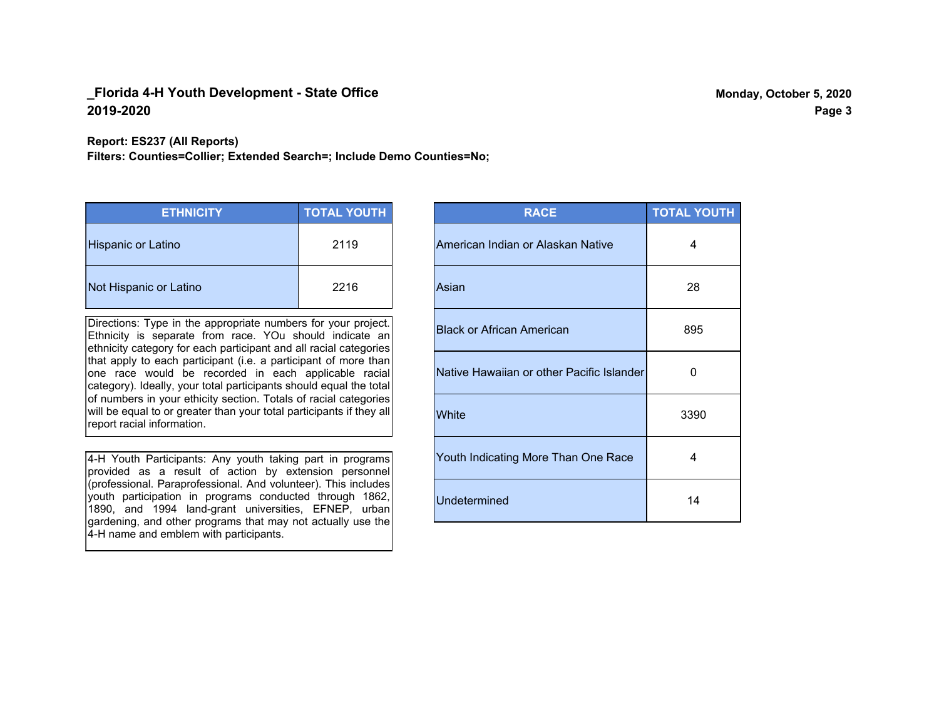**Report: ES237 (All Reports)**

**Filters: Counties=Collier; Extended Search=; Include Demo Counties=No;**

| <b>ETHNICITY</b>          | <b>TOTAL YOUTH</b> |
|---------------------------|--------------------|
| <b>Hispanic or Latino</b> | 2119               |
| Not Hispanic or Latino    | 2216               |

Directions: Type in the appropriate numbers for your project. Ethnicity is separate from race. YOu should indicate an ethnicity category for each participant and all racial categories that apply to each participant (i.e. a participant of more than one race would be recorded in each applicable racial category). Ideally, your total participants should equal the total of numbers in your ethicity section. Totals of racial categories will be equal to or greater than your total participants if they all report racial information.

4-H Youth Participants: Any youth taking part in programs provided as a result of action by extension personnel (professional. Paraprofessional. And volunteer). This includes youth participation in programs conducted through 1862, 1890, and 1994 land-grant universities, EFNEP, urban gardening, and other programs that may not actually use the 4-H name and emblem with participants.

| <b>RACE</b>                               | <b>TOTAL YOUTH</b> |
|-------------------------------------------|--------------------|
| American Indian or Alaskan Native         | 4                  |
| Asian                                     | 28                 |
| <b>Black or African American</b>          | 895                |
| Native Hawaiian or other Pacific Islander | 0                  |
| White                                     | 3390               |
| Youth Indicating More Than One Race       | 4                  |
| <b>Undetermined</b>                       | 14                 |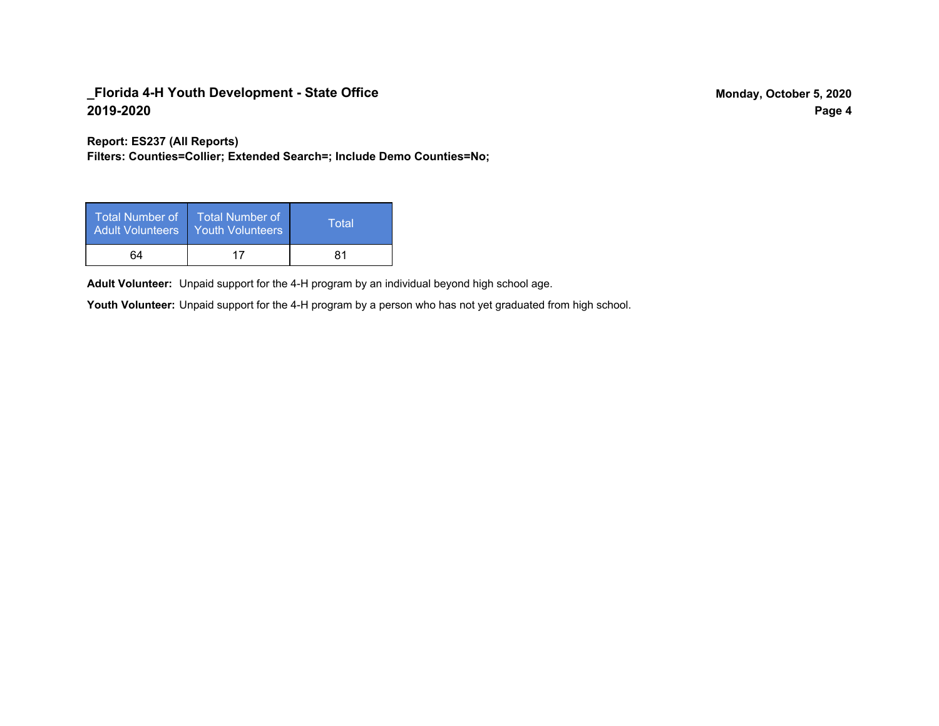**Report: ES237 (All Reports)**

**Filters: Counties=Collier; Extended Search=; Include Demo Counties=No;**

| Total Number of<br><b>Adult Volunteers</b> | ا Total Number of<br><b>Youth Volunteers</b> | Total |
|--------------------------------------------|----------------------------------------------|-------|
| 64                                         | 17                                           | 81    |

Adult Volunteer: Unpaid support for the 4-H program by an individual beyond high school age.

Youth Volunteer: Unpaid support for the 4-H program by a person who has not yet graduated from high school.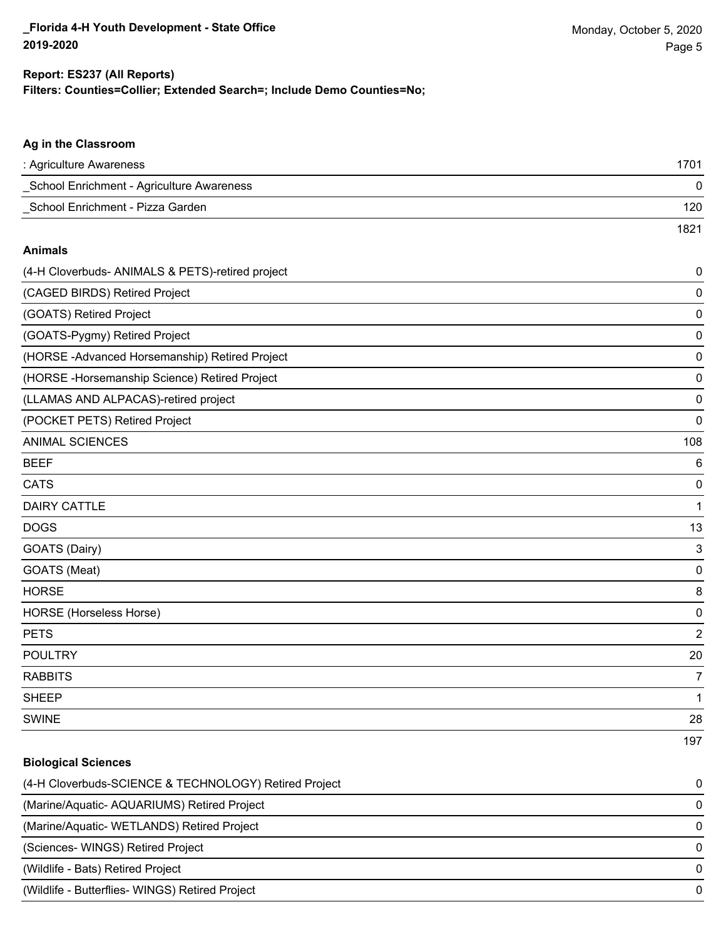### **Ag in the Classroom**

| : Agriculture Awareness                   | 1701 |
|-------------------------------------------|------|
| School Enrichment - Agriculture Awareness |      |
| School Enrichment - Pizza Garden          | 120  |
|                                           | 1821 |

#### **Animals**

| (4-H Cloverbuds- ANIMALS & PETS)-retired project | $\mathbf 0$    |
|--------------------------------------------------|----------------|
| (CAGED BIRDS) Retired Project                    | 0              |
| (GOATS) Retired Project                          | 0              |
| (GOATS-Pygmy) Retired Project                    | 0              |
| (HORSE-Advanced Horsemanship) Retired Project    | 0              |
| (HORSE - Horsemanship Science) Retired Project   | 0              |
| (LLAMAS AND ALPACAS)-retired project             | 0              |
| (POCKET PETS) Retired Project                    | 0              |
| <b>ANIMAL SCIENCES</b>                           | 108            |
| <b>BEEF</b>                                      | 6              |
| <b>CATS</b>                                      | 0              |
| <b>DAIRY CATTLE</b>                              | 1              |
| <b>DOGS</b>                                      | 13             |
| GOATS (Dairy)                                    | 3              |
| GOATS (Meat)                                     | 0              |
| <b>HORSE</b>                                     | 8              |
| HORSE (Horseless Horse)                          | 0              |
| <b>PETS</b>                                      | $\overline{c}$ |
| <b>POULTRY</b>                                   | 20             |
| <b>RABBITS</b>                                   | 7              |
| <b>SHEEP</b>                                     | 1              |
| <b>SWINE</b>                                     | 28             |
|                                                  | 197            |

#### **Biological Sciences**

| (4-H Cloverbuds-SCIENCE & TECHNOLOGY) Retired Project | $\Omega$ |
|-------------------------------------------------------|----------|
| (Marine/Aquatic-AQUARIUMS) Retired Project            | $\Omega$ |
| (Marine/Aquatic- WETLANDS) Retired Project            | $\Omega$ |
| (Sciences- WINGS) Retired Project                     | $\Omega$ |
| (Wildlife - Bats) Retired Project                     | $\Omega$ |
| (Wildlife - Butterflies- WINGS) Retired Project       | $\Omega$ |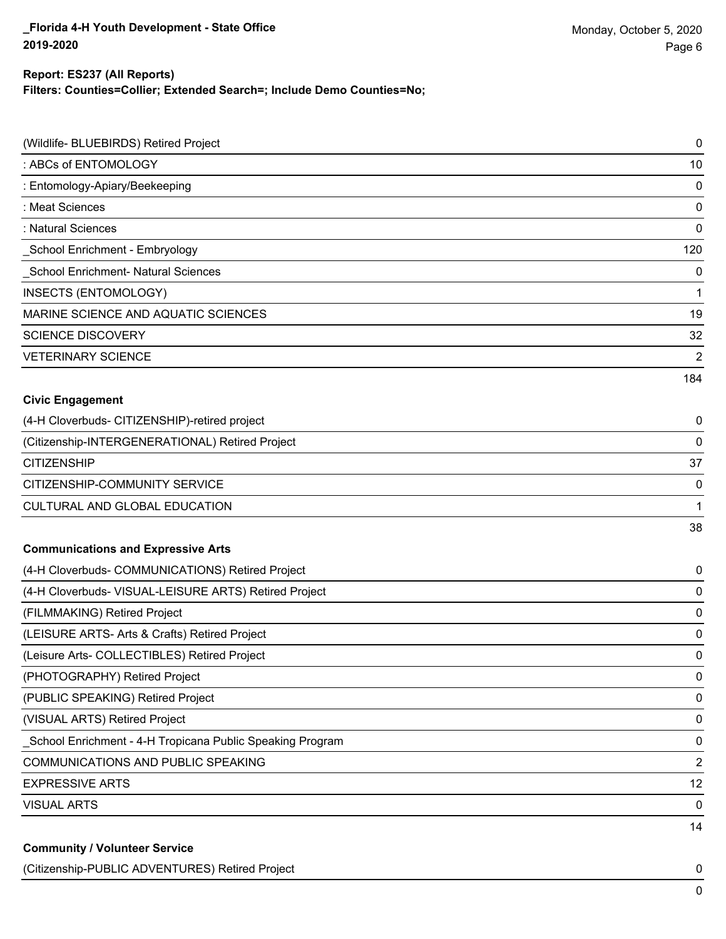## **Filters: Counties=Collier; Extended Search=; Include Demo Counties=No; Report: ES237 (All Reports)**

| (Wildlife- BLUEBIRDS) Retired Project                     | 0   |
|-----------------------------------------------------------|-----|
| : ABCs of ENTOMOLOGY                                      | 10  |
| : Entomology-Apiary/Beekeeping                            | 0   |
| : Meat Sciences                                           | 0   |
| : Natural Sciences                                        | 0   |
| _School Enrichment - Embryology                           | 120 |
| School Enrichment- Natural Sciences                       | 0   |
| INSECTS (ENTOMOLOGY)                                      | 1   |
| MARINE SCIENCE AND AQUATIC SCIENCES                       | 19  |
| <b>SCIENCE DISCOVERY</b>                                  | 32  |
| <b>VETERINARY SCIENCE</b>                                 | 2   |
|                                                           | 184 |
| <b>Civic Engagement</b>                                   |     |
| (4-H Cloverbuds- CITIZENSHIP)-retired project             | 0   |
| (Citizenship-INTERGENERATIONAL) Retired Project           | 0   |
| <b>CITIZENSHIP</b>                                        | 37  |
| CITIZENSHIP-COMMUNITY SERVICE                             | 0   |
| CULTURAL AND GLOBAL EDUCATION                             | 1   |
|                                                           | 38  |
| <b>Communications and Expressive Arts</b>                 |     |
| (4-H Cloverbuds- COMMUNICATIONS) Retired Project          | 0   |
| (4-H Cloverbuds- VISUAL-LEISURE ARTS) Retired Project     | 0   |
| (FILMMAKING) Retired Project                              | 0   |
| (LEISURE ARTS- Arts & Crafts) Retired Project             | 0   |
| (Leisure Arts- COLLECTIBLES) Retired Project              | 0   |
| (PHOTOGRAPHY) Retired Project                             | 0   |
| (PUBLIC SPEAKING) Retired Project                         | 0   |
| (VISUAL ARTS) Retired Project                             | 0   |
| School Enrichment - 4-H Tropicana Public Speaking Program | 0   |
| COMMUNICATIONS AND PUBLIC SPEAKING                        | 2   |
| <b>EXPRESSIVE ARTS</b>                                    | 12  |
| <b>VISUAL ARTS</b>                                        | 0   |
|                                                           | 14  |

(Citizenship-PUBLIC ADVENTURES) Retired Project 0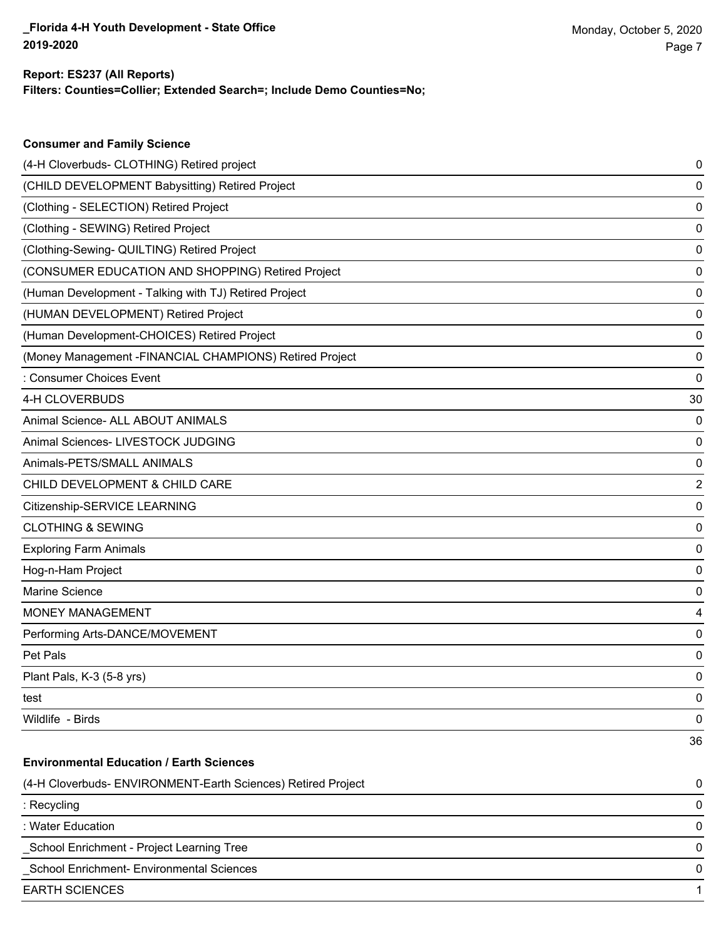**Consumer and Family Science**

## **Filters: Counties=Collier; Extended Search=; Include Demo Counties=No; Report: ES237 (All Reports)**

| (4-H Cloverbuds- CLOTHING) Retired project                   | 0  |
|--------------------------------------------------------------|----|
| (CHILD DEVELOPMENT Babysitting) Retired Project              | 0  |
| (Clothing - SELECTION) Retired Project                       | 0  |
| (Clothing - SEWING) Retired Project                          | 0  |
| (Clothing-Sewing- QUILTING) Retired Project                  | 0  |
| (CONSUMER EDUCATION AND SHOPPING) Retired Project            | 0  |
| (Human Development - Talking with TJ) Retired Project        | 0  |
| (HUMAN DEVELOPMENT) Retired Project                          | 0  |
| (Human Development-CHOICES) Retired Project                  | 0  |
| (Money Management -FINANCIAL CHAMPIONS) Retired Project      | 0  |
| : Consumer Choices Event                                     | 0  |
| 4-H CLOVERBUDS                                               | 30 |
| Animal Science- ALL ABOUT ANIMALS                            | 0  |
| Animal Sciences- LIVESTOCK JUDGING                           | 0  |
| Animals-PETS/SMALL ANIMALS                                   | 0  |
| CHILD DEVELOPMENT & CHILD CARE                               | 2  |
| Citizenship-SERVICE LEARNING                                 | 0  |
| <b>CLOTHING &amp; SEWING</b>                                 | 0  |
| <b>Exploring Farm Animals</b>                                | 0  |
| Hog-n-Ham Project                                            | 0  |
| Marine Science                                               | 0  |
| <b>MONEY MANAGEMENT</b>                                      | 4  |
| Performing Arts-DANCE/MOVEMENT                               | 0  |
| Pet Pals                                                     | 0  |
| Plant Pals, K-3 (5-8 yrs)                                    | 0  |
| test                                                         | 0  |
| Wildlife - Birds                                             | 0  |
|                                                              | 36 |
| <b>Environmental Education / Earth Sciences</b>              |    |
| (4-H Cloverbuds- ENVIRONMENT-Earth Sciences) Retired Project | 0  |
| : Recycling                                                  | 0  |
| : Water Education                                            | 0  |
| School Enrichment - Project Learning Tree                    | 0  |
| School Enrichment- Environmental Sciences                    | 0  |
| <b>EARTH SCIENCES</b>                                        | 1  |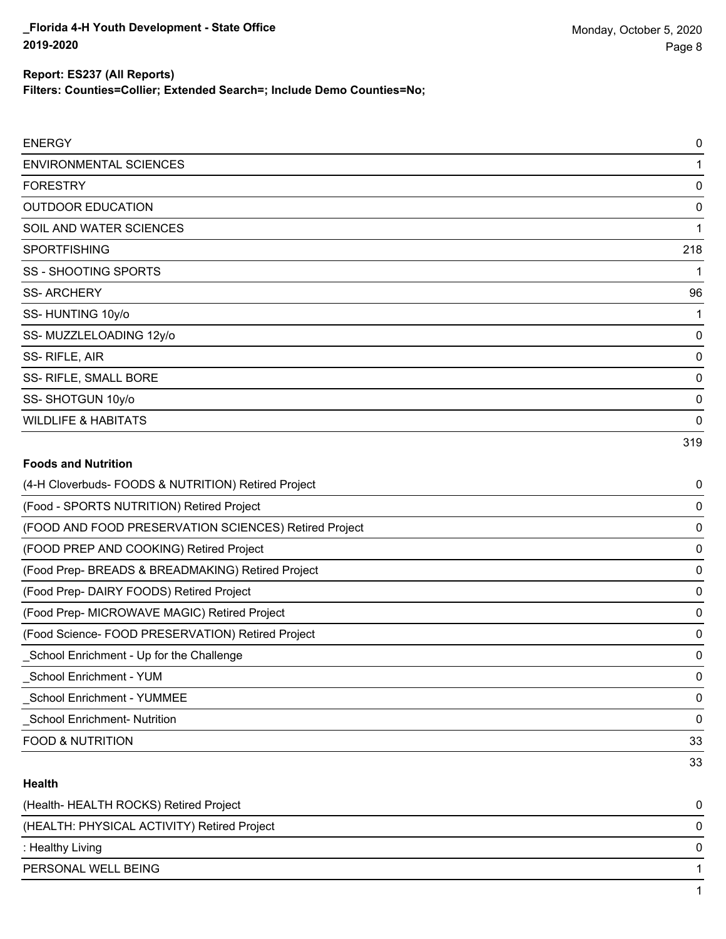**Filters: Counties=Collier; Extended Search=; Include Demo Counties=No;**

| <b>ENERGY</b>               | <sup>0</sup> |
|-----------------------------|--------------|
| ENVIRONMENTAL SCIENCES      |              |
| <b>FORESTRY</b>             |              |
| <b>OUTDOOR EDUCATION</b>    |              |
| SOIL AND WATER SCIENCES     |              |
| <b>SPORTFISHING</b>         | 218          |
| <b>SS - SHOOTING SPORTS</b> |              |
| <b>SS-ARCHERY</b>           | 96           |

SS-HUNTING 10y/o 1

SS-MUZZLELOADING 12y/o 0

SS- RIFLE, AIR 0

SS- RIFLE, SMALL BORE 0

SS- SHOTGUN 10y/o 0

WILDLIFE & HABITATS 0

## **Foods and Nutrition**

| (4-H Cloverbuds- FOODS & NUTRITION) Retired Project   | $\mathbf 0$ |
|-------------------------------------------------------|-------------|
| (Food - SPORTS NUTRITION) Retired Project             | 0           |
| (FOOD AND FOOD PRESERVATION SCIENCES) Retired Project | 0           |
| (FOOD PREP AND COOKING) Retired Project               | 0           |
| (Food Prep- BREADS & BREADMAKING) Retired Project     | 0           |
| (Food Prep-DAIRY FOODS) Retired Project               | 0           |
| (Food Prep- MICROWAVE MAGIC) Retired Project          | 0           |
| (Food Science-FOOD PRESERVATION) Retired Project      | 0           |
| School Enrichment - Up for the Challenge              | 0           |
| School Enrichment - YUM                               | 0           |
| <b>School Enrichment - YUMMEE</b>                     | 0           |
| <b>School Enrichment- Nutrition</b>                   | 0           |
| <b>FOOD &amp; NUTRITION</b>                           | 33          |
|                                                       | 33          |

### **Health**

| (Health-HEALTH ROCKS) Retired Project       |   |
|---------------------------------------------|---|
| (HEALTH: PHYSICAL ACTIVITY) Retired Project | 0 |
| : Healthy Living                            | 0 |
| PERSONAL WELL BEING                         |   |
|                                             |   |

319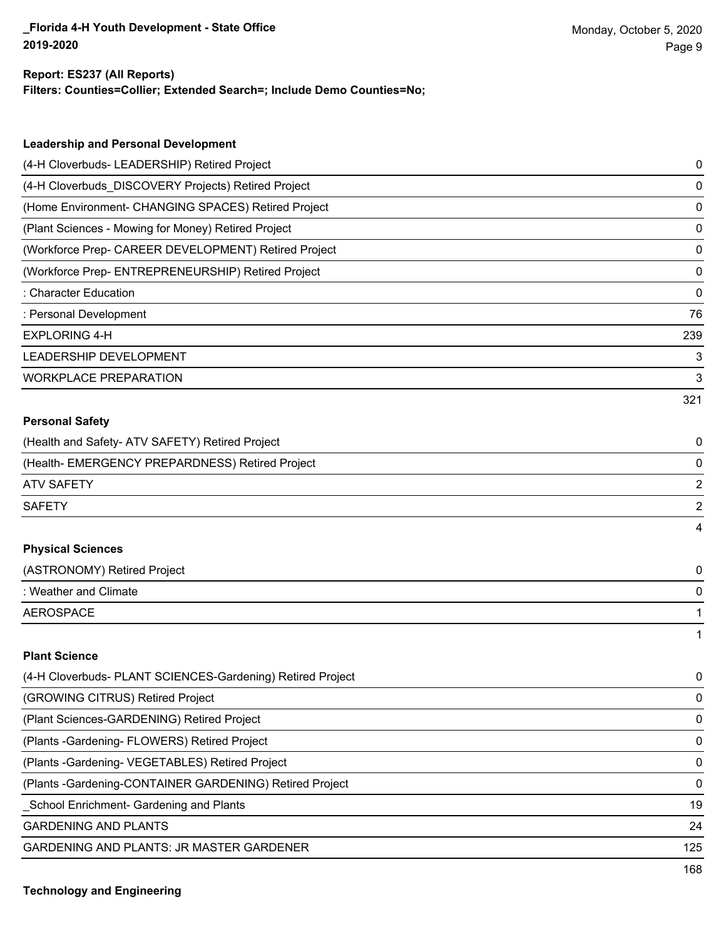168

## **Filters: Counties=Collier; Extended Search=; Include Demo Counties=No; Report: ES237 (All Reports)**

| <b>Leadership and Personal Development</b>                 |     |
|------------------------------------------------------------|-----|
| (4-H Cloverbuds- LEADERSHIP) Retired Project               | 0   |
| (4-H Cloverbuds_DISCOVERY Projects) Retired Project        | 0   |
| (Home Environment- CHANGING SPACES) Retired Project        | 0   |
| (Plant Sciences - Mowing for Money) Retired Project        | 0   |
| (Workforce Prep- CAREER DEVELOPMENT) Retired Project       | 0   |
| (Workforce Prep- ENTREPRENEURSHIP) Retired Project         | 0   |
| : Character Education                                      | 0   |
| : Personal Development                                     | 76  |
| <b>EXPLORING 4-H</b>                                       | 239 |
| LEADERSHIP DEVELOPMENT                                     | 3   |
| <b>WORKPLACE PREPARATION</b>                               | 3   |
|                                                            | 321 |
| <b>Personal Safety</b>                                     |     |
| (Health and Safety- ATV SAFETY) Retired Project            | 0   |
| (Health- EMERGENCY PREPARDNESS) Retired Project            | 0   |
| <b>ATV SAFETY</b>                                          | 2   |
| <b>SAFETY</b>                                              | 2   |
|                                                            | 4   |
| <b>Physical Sciences</b>                                   |     |
| (ASTRONOMY) Retired Project                                | 0   |
| : Weather and Climate                                      | 0   |
| <b>AEROSPACE</b>                                           | 1   |
|                                                            | 1   |
| <b>Plant Science</b>                                       |     |
| (4-H Cloverbuds- PLANT SCIENCES-Gardening) Retired Project | 0   |
| (GROWING CITRUS) Retired Project                           | 0   |
| (Plant Sciences-GARDENING) Retired Project                 | 0   |
| (Plants - Gardening - FLOWERS) Retired Project             | 0   |
| (Plants - Gardening - VEGETABLES) Retired Project          | 0   |
| (Plants - Gardening-CONTAINER GARDENING) Retired Project   | 0   |
| School Enrichment- Gardening and Plants                    | 19  |
| <b>GARDENING AND PLANTS</b>                                | 24  |
| <b>GARDENING AND PLANTS: JR MASTER GARDENER</b>            | 125 |